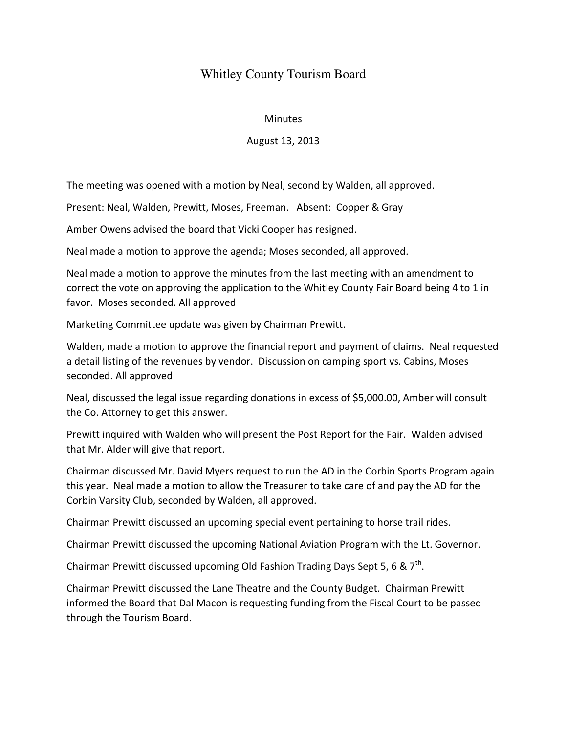## Whitley County Tourism Board

## **Minutes**

## August 13, 2013

The meeting was opened with a motion by Neal, second by Walden, all approved.

Present: Neal, Walden, Prewitt, Moses, Freeman. Absent: Copper & Gray

Amber Owens advised the board that Vicki Cooper has resigned.

Neal made a motion to approve the agenda; Moses seconded, all approved.

Neal made a motion to approve the minutes from the last meeting with an amendment to correct the vote on approving the application to the Whitley County Fair Board being 4 to 1 in favor. Moses seconded. All approved

Marketing Committee update was given by Chairman Prewitt.

Walden, made a motion to approve the financial report and payment of claims. Neal requested a detail listing of the revenues by vendor. Discussion on camping sport vs. Cabins, Moses seconded. All approved

Neal, discussed the legal issue regarding donations in excess of \$5,000.00, Amber will consult the Co. Attorney to get this answer.

Prewitt inquired with Walden who will present the Post Report for the Fair. Walden advised that Mr. Alder will give that report.

Chairman discussed Mr. David Myers request to run the AD in the Corbin Sports Program again this year. Neal made a motion to allow the Treasurer to take care of and pay the AD for the Corbin Varsity Club, seconded by Walden, all approved.

Chairman Prewitt discussed an upcoming special event pertaining to horse trail rides.

Chairman Prewitt discussed the upcoming National Aviation Program with the Lt. Governor.

Chairman Prewitt discussed upcoming Old Fashion Trading Days Sept 5, 6 &  $7<sup>th</sup>$ .

Chairman Prewitt discussed the Lane Theatre and the County Budget. Chairman Prewitt informed the Board that Dal Macon is requesting funding from the Fiscal Court to be passed through the Tourism Board.